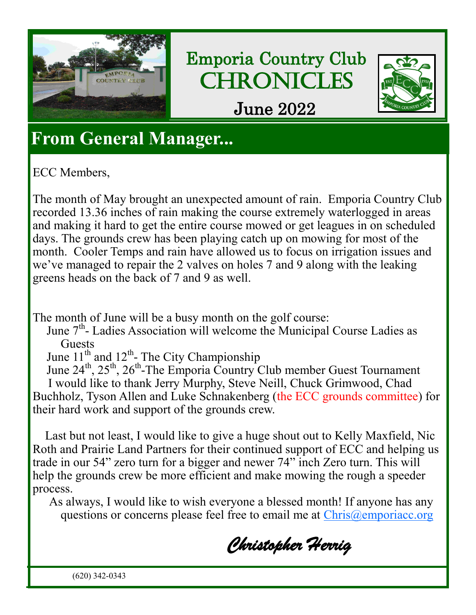

Emporia Country Club **CHRONICLES** 



June 2022

### **From General Manager...**

ECC Members,

The month of May brought an unexpected amount of rain. Emporia Country Club recorded 13.36 inches of rain making the course extremely waterlogged in areas and making it hard to get the entire course mowed or get leagues in on scheduled days. The grounds crew has been playing catch up on mowing for most of the month. Cooler Temps and rain have allowed us to focus on irrigation issues and we've managed to repair the 2 valves on holes 7 and 9 along with the leaking greens heads on the back of 7 and 9 as well.

The month of June will be a busy month on the golf course:

June 7<sup>th</sup>- Ladies Association will welcome the Municipal Course Ladies as **Guests** 

June  $11^{th}$  and  $12^{th}$ - The City Championship

June  $24^{\text{th}}$ ,  $25^{\text{th}}$ ,  $26^{\text{th}}$ -The Emporia Country Club member Guest Tournament I would like to thank Jerry Murphy, Steve Neill, Chuck Grimwood, Chad Buchholz, Tyson Allen and Luke Schnakenberg (the ECC grounds committee) for their hard work and support of the grounds crew.

 Last but not least, I would like to give a huge shout out to Kelly Maxfield, Nic Roth and Prairie Land Partners for their continued support of ECC and helping us trade in our 54" zero turn for a bigger and newer 74" inch Zero turn. This will help the grounds crew be more efficient and make mowing the rough a speeder process.

As always, I would like to wish everyone a blessed month! If anyone has any questions or concerns please feel free to email me at [Chris@emporiacc.org](mailto:Chris@emporiacc.org)

*Christopher Herrig* 

(620) 342-0343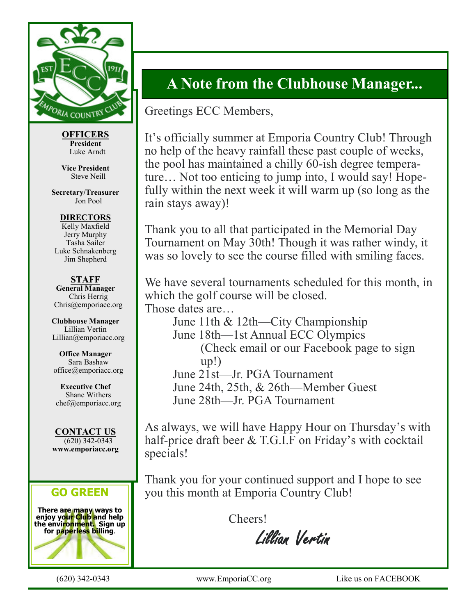

**OFFICERS President** Luke Arndt

**Vice President** Steve Neill

**Secretary/Treasurer** Jon Pool

**DIRECTORS** Kelly Maxfield Jerry Murphy Tasha Sailer Luke Schnakenberg Jim Shepherd

**STAFF General Manager** Chris Herrig Chris@emporiacc.org

**Clubhouse Manager** Lillian Vertin Lillian@emporiacc.org

**Office Manager** Sara Bashaw office@emporiacc.org

**Executive Chef** Shane Withers chef@emporiacc.org

**CONTACT US** (620) 342-0343 **www.emporiacc.org**

#### **GO GREEN**

**There are many ways to enjoy your Club and help the environment. Sign up for paperless billing**.



### **A Note from the Clubhouse Manager...**

Greetings ECC Members,

It's officially summer at Emporia Country Club! Through no help of the heavy rainfall these past couple of weeks, the pool has maintained a chilly 60-ish degree temperature… Not too enticing to jump into, I would say! Hopefully within the next week it will warm up (so long as the rain stays away)!

Thank you to all that participated in the Memorial Day Tournament on May 30th! Though it was rather windy, it was so lovely to see the course filled with smiling faces.

We have several tournaments scheduled for this month, in which the golf course will be closed. Those dates are…

June 11th & 12th—City Championship June 18th—1st Annual ECC Olympics (Check email or our Facebook page to sign up!) June 21st—Jr. PGA Tournament June 24th, 25th, & 26th—Member Guest June 28th—Jr. PGA Tournament

As always, we will have Happy Hour on Thursday's with half-price draft beer & T.G.I.F on Friday's with cocktail specials!

Thank you for your continued support and I hope to see you this month at Emporia Country Club!

Cheers!

Lillian Vertin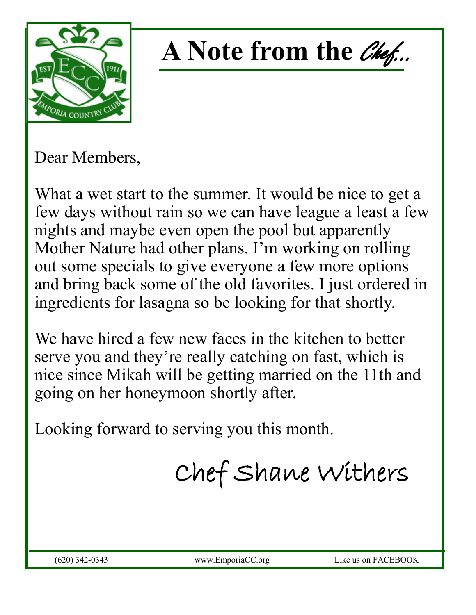

# A Note from the *Chef...*

Dear Members,

What a wet start to the summer. It would be nice to get a few days without rain so we can have league a least a few nights and maybe even open the pool but apparently Mother Nature had other plans. I'm working on rolling out some specials to give everyone a few more options and bring back some of the old favorites. I just ordered in ingredients for lasagna so be looking for that shortly.

We have hired a few new faces in the kitchen to better serve you and they're really catching on fast, which is nice since Mikah will be getting married on the 11th and going on her honeymoon shortly after.

Looking forward to serving you this month.

Chef Shane Withers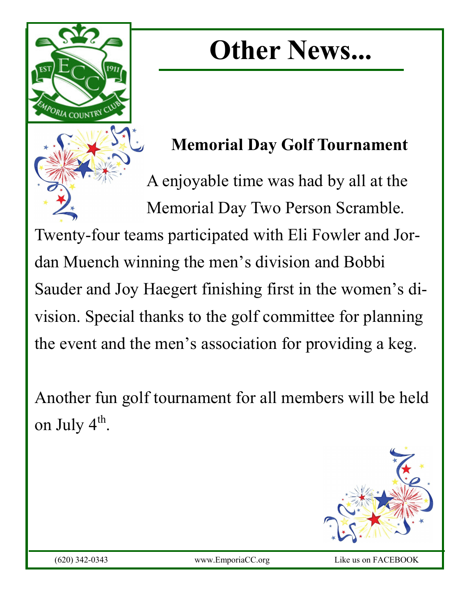## **Other News...**

### **Memorial Day Golf Tournament**

A enjoyable time was had by all at the Memorial Day Two Person Scramble. Twenty-four teams participated with Eli Fowler and Jordan Muench winning the men's division and Bobbi Sauder and Joy Haegert finishing first in the women's division. Special thanks to the golf committee for planning the event and the men's association for providing a keg.

Another fun golf tournament for all members will be held on July  $4^{\text{th}}$ .



PORLA COUNTRY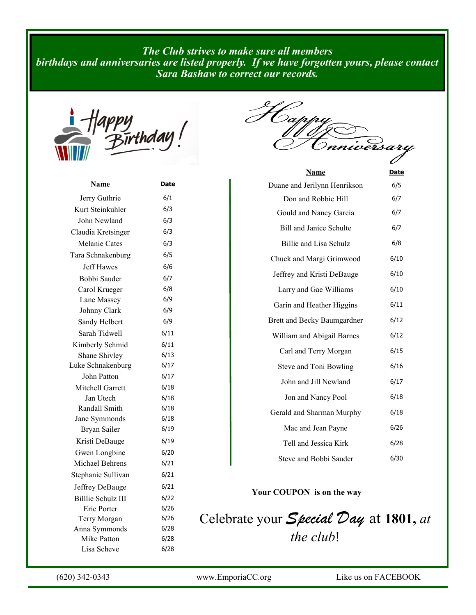*The Club strives to make sure all members birthdays and anniversaries are listed properly. If we have forgotten yours, please contact Sara Bashaw to correct our records.*



F Cap versari

| Name               | Date |
|--------------------|------|
| Jerry Guthrie      | 6/1  |
| Kurt Steinkuhler   | 6/3  |
| John Newland       | 6/3  |
| Claudia Kretsinger | 6/3  |
| Melanie Cates      | 6/3  |
| Tara Schnakenburg  | 6/5  |
| <b>Jeff Hawes</b>  | 6/6  |
| Bobbi Sauder       | 6/7  |
| Carol Krueger      | 6/8  |
| Lane Massey        | 6/9  |
| Johnny Clark       | 6/9  |
| Sandy Helbert      | 6/9  |
| Sarah Tidwell      | 6/11 |
| Kimberly Schmid    | 6/11 |
| Shane Shivley      | 6/13 |
| Luke Schnakenburg  | 6/17 |
| John Patton        | 6/17 |
| Mitchell Garrett   | 6/18 |
| Jan Utech          | 6/18 |
| Randall Smith      | 6/18 |
| Jane Symmonds      | 6/18 |
| Bryan Sailer       | 6/19 |
| Kristi DeBauge     | 6/19 |
| Gwen Longbine      | 6/20 |
| Michael Behrens    | 6/21 |
| Stephanie Sullivan | 6/21 |
| Jeffrey DeBauge    | 6/21 |
| Billlie Schulz III | 6/22 |
| Eric Porter        | 6/26 |
| Terry Morgan       | 6/26 |
| Anna Symmonds      | 6/28 |
| Mike Patton        | 6/28 |
| Lisa Scheve        | 6/28 |

| <u>Name</u>                    | <u>Date</u> |
|--------------------------------|-------------|
| Duane and Jerilynn Henrikson   | 6/5         |
| Don and Robbie Hill            | 6/7         |
| Gould and Nancy Garcia         | 6/7         |
| <b>Bill and Janice Schulte</b> | 6/7         |
| Billie and Lisa Schulz         | 6/8         |
| Chuck and Margi Grimwood       | 6/10        |
| Jeffrey and Kristi DeBauge     | 6/10        |
| Larry and Gae Williams         | 6/10        |
| Garin and Heather Higgins      | 6/11        |
| Brett and Becky Baumgardner    | 6/12        |
| William and Abigail Barnes     | 6/12        |
| Carl and Terry Morgan          | 6/15        |
| Steve and Toni Bowling         | 6/16        |
| John and Jill Newland          | 6/17        |
| Jon and Nancy Pool             | 6/18        |
| Gerald and Sharman Murphy      | 6/18        |
| Mac and Jean Payne             | 6/26        |
| Tell and Jessica Kirk          | 6/28        |
| Steve and Bobbi Sauder         | 6/30        |

#### **Your COUPON is on the way**

Celebrate your *Special Day* at **1801,** *at the club*!